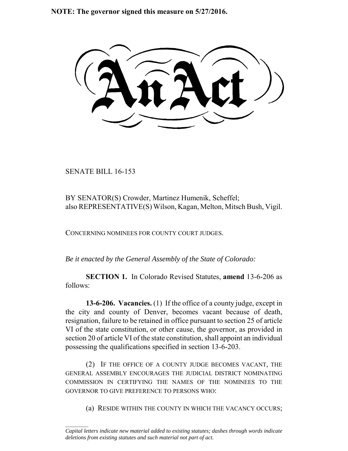**NOTE: The governor signed this measure on 5/27/2016.**

SENATE BILL 16-153

 $\frac{1}{2}$ 

BY SENATOR(S) Crowder, Martinez Humenik, Scheffel; also REPRESENTATIVE(S) Wilson, Kagan, Melton, Mitsch Bush, Vigil.

CONCERNING NOMINEES FOR COUNTY COURT JUDGES.

*Be it enacted by the General Assembly of the State of Colorado:*

**SECTION 1.** In Colorado Revised Statutes, **amend** 13-6-206 as follows:

**13-6-206. Vacancies.** (1) If the office of a county judge, except in the city and county of Denver, becomes vacant because of death, resignation, failure to be retained in office pursuant to section 25 of article VI of the state constitution, or other cause, the governor, as provided in section 20 of article VI of the state constitution, shall appoint an individual possessing the qualifications specified in section 13-6-203.

(2) IF THE OFFICE OF A COUNTY JUDGE BECOMES VACANT, THE GENERAL ASSEMBLY ENCOURAGES THE JUDICIAL DISTRICT NOMINATING COMMISSION IN CERTIFYING THE NAMES OF THE NOMINEES TO THE GOVERNOR TO GIVE PREFERENCE TO PERSONS WHO:

(a) RESIDE WITHIN THE COUNTY IN WHICH THE VACANCY OCCURS;

*Capital letters indicate new material added to existing statutes; dashes through words indicate deletions from existing statutes and such material not part of act.*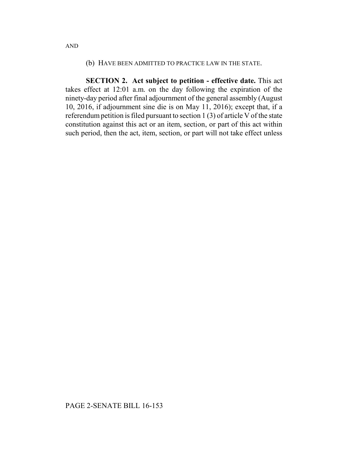## (b) HAVE BEEN ADMITTED TO PRACTICE LAW IN THE STATE.

**SECTION 2. Act subject to petition - effective date.** This act takes effect at 12:01 a.m. on the day following the expiration of the ninety-day period after final adjournment of the general assembly (August 10, 2016, if adjournment sine die is on May 11, 2016); except that, if a referendum petition is filed pursuant to section 1 (3) of article V of the state constitution against this act or an item, section, or part of this act within such period, then the act, item, section, or part will not take effect unless

AND